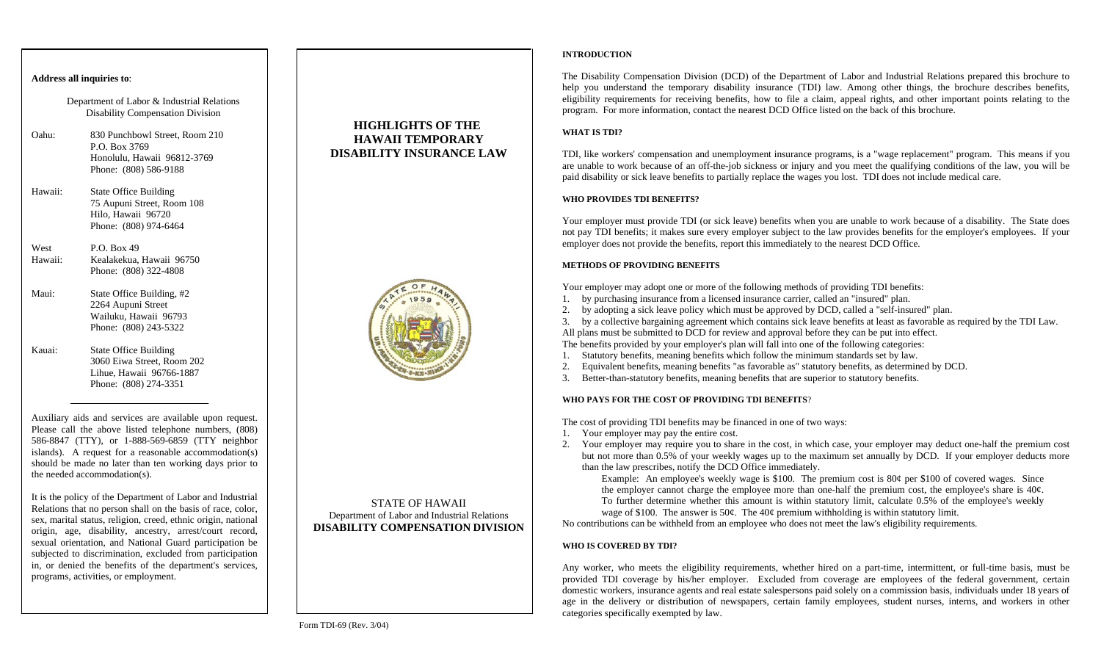### **Address all inquiries to**:

Department of Labor & Industrial Relations Disability Compensation Division

- Oahu: 830 Punchbowl Street, Room 210 P.O. Box 3769 Honolulu, Hawaii 96812-3769 Phone: (808) 586-9188
- Hawaii: State Office Building 75 Aupuni Street, Room 108 Hilo, Hawaii 96720 Phone: (808) 974-6464

West  $P \cap \text{Box } 49$ Hawaii: Kealakekua, Hawaii 96750 Phone: (808) 322-4808

- Maui: State Office Building, #2 2264 Aupuni Street Wailuku, Hawaii 96793 Phone: (808) 243-5322
- Kauai: State Office Building 3060 Eiwa Street, Room 202 Lihue, Hawaii 96766-1887 Phone: (808) 274-3351

Auxiliary aids and services are available upon request. Please call the above listed telephone numbers, (808) 586-8847 (TTY), or 1-888-569-6859 (TTY neighbor islands). A request for a reasonable accom modation(s) should be made no later than ten working days prior to the needed accommodation(s).

It is the policy of the Department of Labor and Industrial Relations that no person shall on the basis of race, color, sex, marital status, religion, creed, ethnic origin, national origin, age, disability, ancestry, arrest/court record, sexual orientation, and National Guard participation be subjected to discrimination, excluded from participation in, or denied the benefits of the department's services, programs, activities, or employment.





### STATE OF HAWAII Department of Labor and Industrial Relations **DISABILITY COMPENSATION DIVISION**

Form TDI-69 (Rev. 3/04)

#### **INTRODUCTION**

The Disability Compensation Division (DCD) of the Department of Labor and Industrial Relations prepared this brochure to help you understand the temporary disability insurance (TDI) law. Among other things, the brochure describes benefits, eligibility requirements for receiving benefits, how to file a claim, appeal rights, and other important points relating to the program. For more information, contact the nearest DCD Office listed on the back of this brochure.

## **WHAT IS TDI?**

TDI, like workers' compensation and unemployment insurance programs, is a "wage replacement" program. This means if you are unable to work because of an off-the-job sickness or injury and you meet the qualifying conditions of the law, you will be paid disability or sick leave benefits to partially replace the wages you lost. TDI does not include medical care.

## **WHO PRO VIDES TDI BENEFITS?**

Your employer must provide T DI (or sick leave) benefits when you are unable to work because of a disability. The State does not pay TDI benefits; it makes sure every employer subject to the law provides benefits for the employer's employees. If your employer does not provide the benefits, report this im mediately to the nearest DCD Office.

## **METHODS OF PROVIDINGBENEFITS**

Your employer may adopt one or more of the following methods of providing TDI benefits:

- 1. by purchasing insurance from a licensed insurance carrier, called an "insured" plan.
- 2. by adopting a sick leave policy which must be approved by DCD, called a "self-insured" plan.

3. by a collective bargaining agree ment which contains sick leave benefits at least as favorable as required by the TDI Law.

All plans must be submitted to DCD for review and approval before they can be put into effect.

The benefits provided by your employer's plan will fall into one of the following categories:

- 1. Statutory benefits, meaning benefits which follow the minimum standards set by law.
- 2. Equivalent benefits, meaning benefits "as favorable as" statutory benefits, as determined by D CD.
- 3. Better-than-statutory benefits, meaning benefits that are superior to statutory benefits.

# **WHO PAYS FOR TH E COST OF PROVIDING TDI BENEFITS**?

The cost of providing TDI benefits may be financed in one of two ways:

- 1. Your employer may pay the entire cost.
- 2. Your employer may require you to share in the cost, in which case, your employer may deduct one-half the premium cost but not more than 0.5% of your weekly wages up to the maximum set annually by DCD. If your employer deducts more than the law prescribes, notify the DCD Office im mediately.

Example: An employee's weekly wage is \$100. The premium cost is 80¢ per \$100 of covered wages. Since the employer cannot charge the employee more than one-half the premium cost, the employee's share is 40¢. To further determine whether this amount is within statutory limit, calculate 0.5% of the employee's weekly wage of \$100. The answer is 50 $\epsilon$ . The 40 $\epsilon$  premium withholding is within statutory limit.

No contributions can be withheld from an employee who does not meet the law's eligibility requirements.

# **WHO IS COVERED BY TDI?**

Any worker, who meets the eligibility requirements, whether hired on a part-time, intermittent, or full-time basis, must be provided TDI coverage by his/her employer. Excluded from coverage are employees of the federal government, certain domestic workers, insurance agents and real estate salespersons paid solely on a commission basis, individuals under 18 years of age in the delivery or distribution of newspapers, certain family employees, student nurses, interns, and workers in other categories specifically exempted by law.